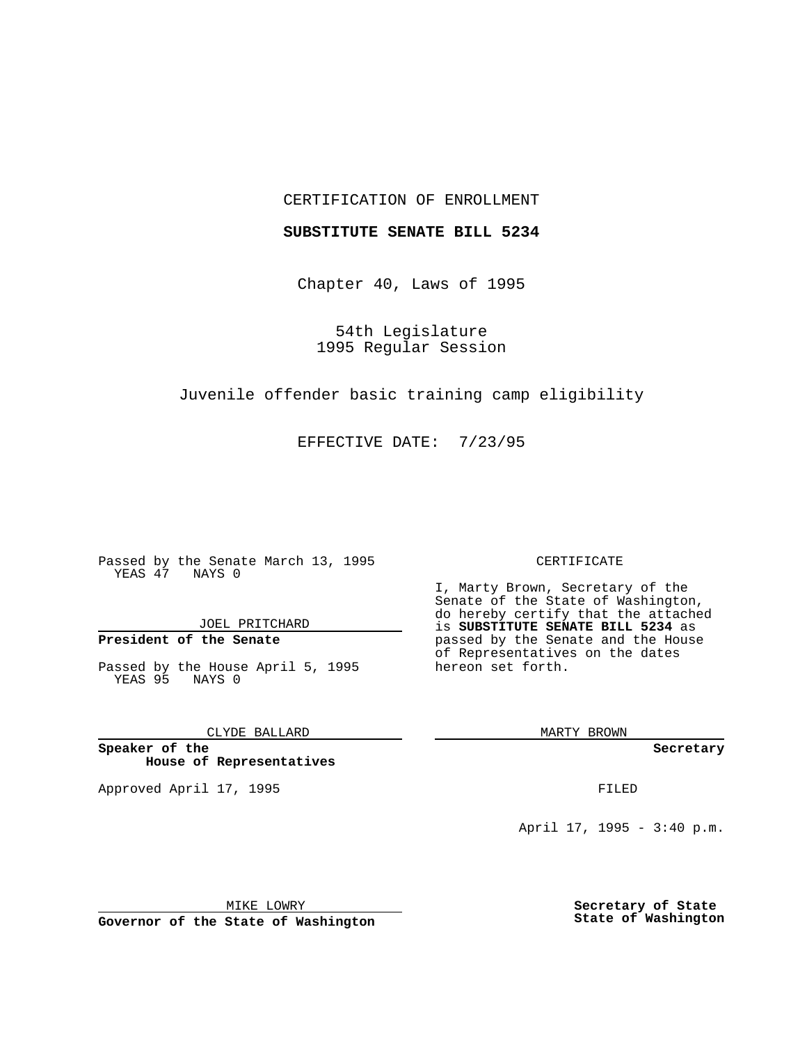### CERTIFICATION OF ENROLLMENT

## **SUBSTITUTE SENATE BILL 5234**

Chapter 40, Laws of 1995

54th Legislature 1995 Regular Session

Juvenile offender basic training camp eligibility

EFFECTIVE DATE: 7/23/95

Passed by the Senate March 13, 1995 YEAS 47 NAYS 0

JOEL PRITCHARD

# **President of the Senate**

Passed by the House April 5, 1995 YEAS 95 NAYS 0

CLYDE BALLARD

**Speaker of the House of Representatives**

Approved April 17, 1995 **FILED** 

#### CERTIFICATE

I, Marty Brown, Secretary of the Senate of the State of Washington, do hereby certify that the attached is **SUBSTITUTE SENATE BILL 5234** as passed by the Senate and the House of Representatives on the dates hereon set forth.

MARTY BROWN

**Secretary**

April 17, 1995 - 3:40 p.m.

MIKE LOWRY **Governor of the State of Washington** **Secretary of State State of Washington**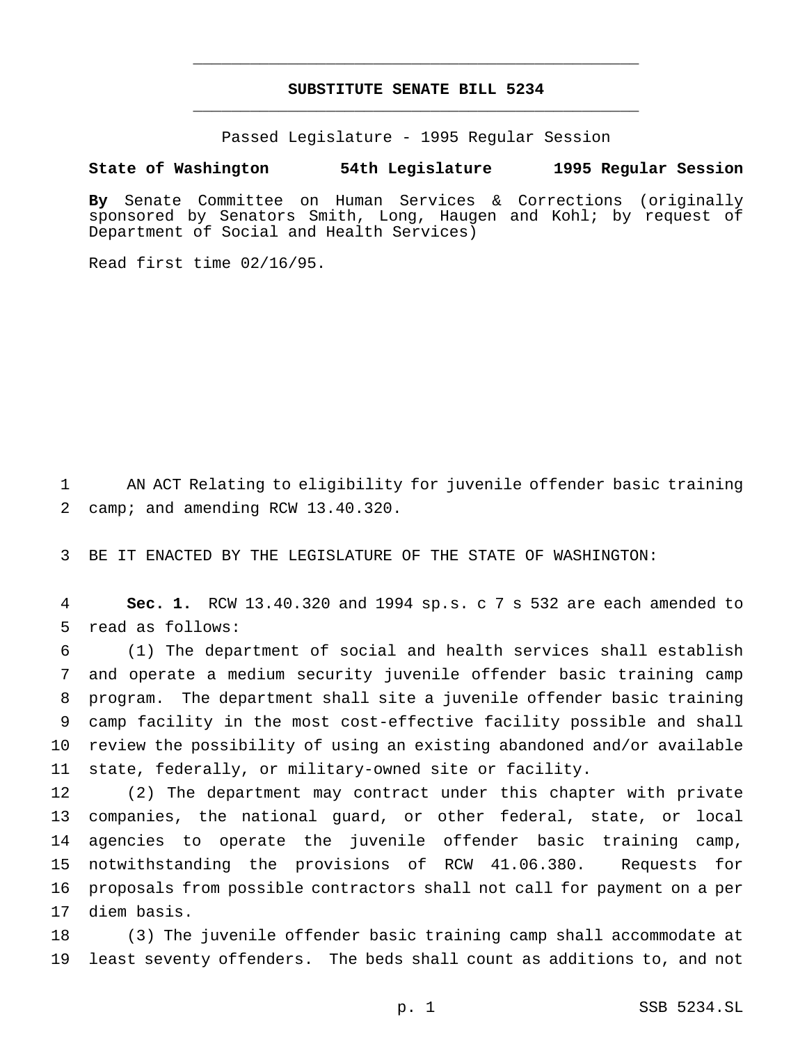## **SUBSTITUTE SENATE BILL 5234** \_\_\_\_\_\_\_\_\_\_\_\_\_\_\_\_\_\_\_\_\_\_\_\_\_\_\_\_\_\_\_\_\_\_\_\_\_\_\_\_\_\_\_\_\_\_\_

\_\_\_\_\_\_\_\_\_\_\_\_\_\_\_\_\_\_\_\_\_\_\_\_\_\_\_\_\_\_\_\_\_\_\_\_\_\_\_\_\_\_\_\_\_\_\_

Passed Legislature - 1995 Regular Session

### **State of Washington 54th Legislature 1995 Regular Session**

**By** Senate Committee on Human Services & Corrections (originally sponsored by Senators Smith, Long, Haugen and Kohl; by request of Department of Social and Health Services)

Read first time 02/16/95.

 AN ACT Relating to eligibility for juvenile offender basic training 2 camp; and amending RCW 13.40.320.

BE IT ENACTED BY THE LEGISLATURE OF THE STATE OF WASHINGTON:

 **Sec. 1.** RCW 13.40.320 and 1994 sp.s. c 7 s 532 are each amended to read as follows:

 (1) The department of social and health services shall establish and operate a medium security juvenile offender basic training camp program. The department shall site a juvenile offender basic training camp facility in the most cost-effective facility possible and shall review the possibility of using an existing abandoned and/or available state, federally, or military-owned site or facility.

 (2) The department may contract under this chapter with private companies, the national guard, or other federal, state, or local agencies to operate the juvenile offender basic training camp, notwithstanding the provisions of RCW 41.06.380. Requests for proposals from possible contractors shall not call for payment on a per diem basis.

 (3) The juvenile offender basic training camp shall accommodate at least seventy offenders. The beds shall count as additions to, and not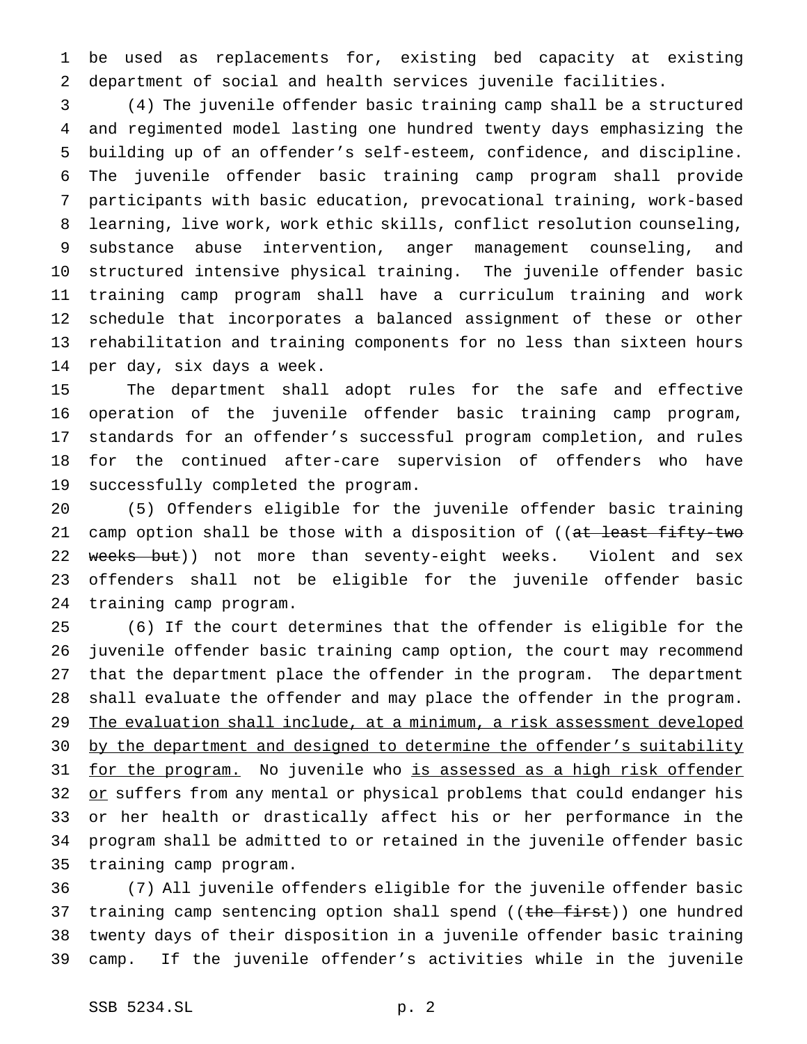be used as replacements for, existing bed capacity at existing department of social and health services juvenile facilities.

 (4) The juvenile offender basic training camp shall be a structured and regimented model lasting one hundred twenty days emphasizing the building up of an offender's self-esteem, confidence, and discipline. The juvenile offender basic training camp program shall provide participants with basic education, prevocational training, work-based learning, live work, work ethic skills, conflict resolution counseling, substance abuse intervention, anger management counseling, and structured intensive physical training. The juvenile offender basic training camp program shall have a curriculum training and work schedule that incorporates a balanced assignment of these or other rehabilitation and training components for no less than sixteen hours per day, six days a week.

 The department shall adopt rules for the safe and effective operation of the juvenile offender basic training camp program, standards for an offender's successful program completion, and rules for the continued after-care supervision of offenders who have successfully completed the program.

 (5) Offenders eligible for the juvenile offender basic training 21 camp option shall be those with a disposition of ((at least fifty-two 22 weeks but)) not more than seventy-eight weeks. Violent and sex offenders shall not be eligible for the juvenile offender basic training camp program.

 (6) If the court determines that the offender is eligible for the juvenile offender basic training camp option, the court may recommend that the department place the offender in the program. The department shall evaluate the offender and may place the offender in the program. 29 The evaluation shall include, at a minimum, a risk assessment developed 30 by the department and designed to determine the offender's suitability 31 for the program. No juvenile who is assessed as a high risk offender 32 or suffers from any mental or physical problems that could endanger his or her health or drastically affect his or her performance in the program shall be admitted to or retained in the juvenile offender basic training camp program.

 (7) All juvenile offenders eligible for the juvenile offender basic 37 training camp sentencing option shall spend ((the first)) one hundred twenty days of their disposition in a juvenile offender basic training camp. If the juvenile offender's activities while in the juvenile